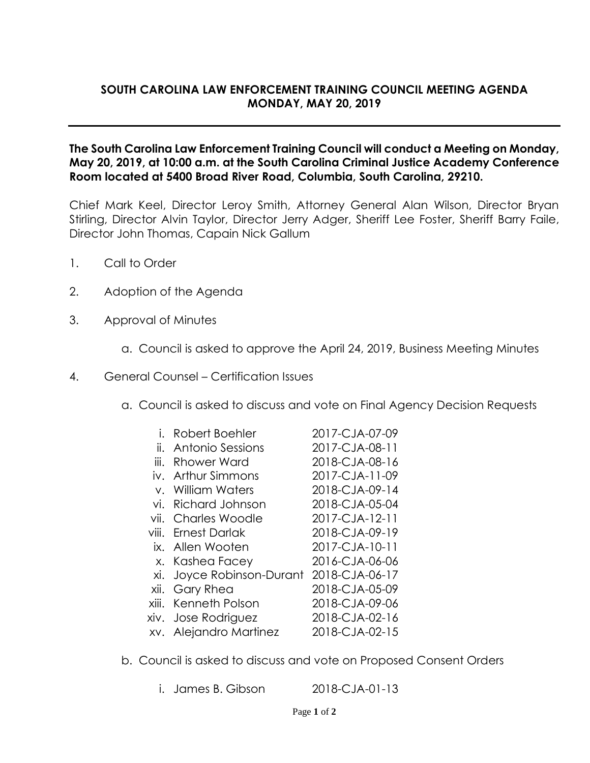## **SOUTH CAROLINA LAW ENFORCEMENT TRAINING COUNCIL MEETING AGENDA MONDAY, MAY 20, 2019**

## **The South Carolina Law Enforcement Training Council will conduct a Meeting on Monday, May 20, 2019, at 10:00 a.m. at the South Carolina Criminal Justice Academy Conference Room located at 5400 Broad River Road, Columbia, South Carolina, 29210.**

Chief Mark Keel, Director Leroy Smith, Attorney General Alan Wilson, Director Bryan Stirling, Director Alvin Taylor, Director Jerry Adger, Sheriff Lee Foster, Sheriff Barry Faile, Director John Thomas, Capain Nick Gallum

- 1. Call to Order
- 2. Adoption of the Agenda
- 3. Approval of Minutes
	- a. Council is asked to approve the April 24, 2019, Business Meeting Minutes
- 4. General Counsel Certification Issues
	- a. Council is asked to discuss and vote on Final Agency Decision Requests
		- i. Robert Boehler 2017-CJA-07-09
		- ii. Antonio Sessions 2017-CJA-08-11
		- iii. Rhower Ward 2018-CJA-08-16
		- iv. Arthur Simmons 2017-CJA-11-09
		- v. William Waters 2018-CJA-09-14
		- vi. Richard Johnson 2018-CJA-05-04
		- vii. Charles Woodle 2017-CJA-12-11
		- viii. Ernest Darlak 2018-CJA-09-19
			- ix. Allen Wooten 2017-CJA-10-11
			- x. Kashea Facey 2016-CJA-06-06
			- xi. Joyce Robinson-Durant 2018-CJA-06-17
		-

xii. Gary Rhea 2018-CJA-05-09 xiii. Kenneth Polson 2018-CJA-09-06

- xiv. Jose Rodriguez 2018-CJA-02-16
- xv. Alejandro Martinez 2018-CJA-02-15
- b. Council is asked to discuss and vote on Proposed Consent Orders
	- i. James B. Gibson 2018-CJA-01-13